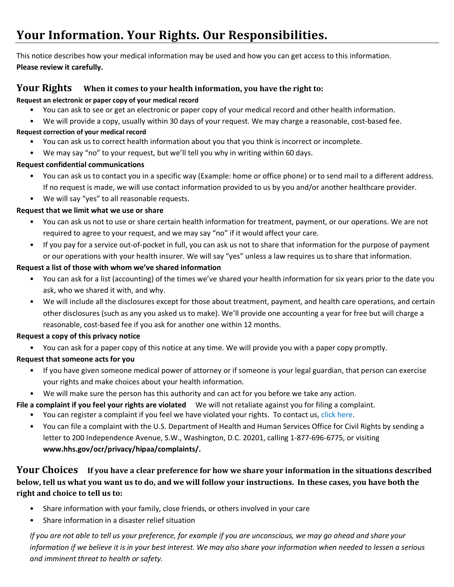# Your Information. Your Rights. Our Responsibilities.

This notice describes how your medical information may be used and how you can get access to this information. **Please review it carefully.**

### **Your Rights** When it comes to your health information, you have the right to:

#### **Request an electronic or paper copy of your medical record**

- You can ask to see or get an electronic or paper copy of your medical record and other health information.
- We will provide a copy, usually within 30 days of your request. We may charge a reasonable, cost-based fee.

#### **Request correction of your medical record**

- You can ask us to correct health information about you that you think is incorrect or incomplete.
- We may say "no" to your request, but we'll tell you why in writing within 60 days.

#### **Request confidential communications**

- You can ask us to contact you in a specific way (Example: home or office phone) or to send mail to a different address. If no request is made, we will use contact information provided to us by you and/or another healthcare provider.
- We will say "yes" to all reasonable requests.

#### **Request that we limit what we use or share**

- You can ask us not to use or share certain health information for treatment, payment, or our operations. We are not required to agree to your request, and we may say "no" if it would affect your care.
- If you pay for a service out-of-pocket in full, you can ask us not to share that information for the purpose of payment or our operations with your health insurer. We will say "yes" unless a law requires us to share that information.

#### **Request a list of those with whom we've shared information**

- You can ask for a list (accounting) of the times we've shared your health information for six years prior to the date you ask, who we shared it with, and why.
- We will include all the disclosures except for those about treatment, payment, and health care operations, and certain other disclosures (such as any you asked us to make). We'll provide one accounting a year for free but will charge a reasonable, cost-based fee if you ask for another one within 12 months.

#### **Request a copy of this privacy notice**

• You can ask for a paper copy of this notice at any time. We will provide you with a paper copy promptly.

#### **Request that someone acts for you**

- If you have given someone medical power of attorney or if someone is your legal guardian, that person can exercise your rights and make choices about your health information.
- We will make sure the person has this authority and can act for you before we take any action.

**File a complaint if you feel your rights are violated** We will not retaliate against you for filing a complaint.

- You can register a complaint if you feel we have violated your rights. To contact us, click here.
- You can file a complaint with the U.S. Department of Health and Human Services Office for Civil Rights by sending a letter to 200 Independence Avenue, S.W., Washington, D.C. 20201, calling 1-877-696-6775, or visiting **www.hhs.gov/ocr/privacy/hipaa/complaints/.**

## **Your Choices** If you have a clear preference for how we share your information in the situations described **below, tell us what you want us to do, and we will follow your instructions. In these cases, you have both the right and choice to tell us to:**

- Share information with your family, close friends, or others involved in your care
- Share information in a disaster relief situation

*If you are not able to tell us your preference, for example if you are unconscious, we may go ahead and share your information if we believe it is in your best interest. We may also share your information when needed to lessen a serious and imminent threat to health or safety.*